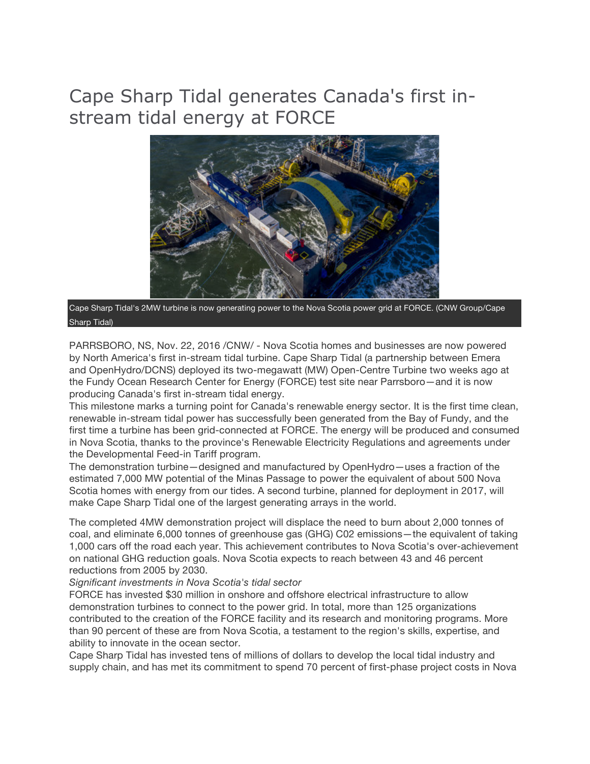# Cape Sharp Tidal generates Canada's first instream tidal energy at FORCE



Cape Sharp Tidal's 2MW turbine is now generating power to the Nova Scotia power grid at FORCE. (CNW Group/Cape Sharp Tidal)

PARRSBORO, NS, Nov. 22, 2016 /CNW/ - Nova Scotia homes and businesses are now powered by North America's first in-stream tidal turbine. Cape Sharp Tidal (a partnership between Emera and OpenHydro/DCNS) deployed its two-megawatt (MW) Open-Centre Turbine two weeks ago at the Fundy Ocean Research Center for Energy (FORCE) test site near Parrsboro—and it is now producing Canada's first in-stream tidal energy.

This milestone marks a turning point for Canada's renewable energy sector. It is the first time clean, renewable in-stream tidal power has successfully been generated from the Bay of Fundy, and the first time a turbine has been grid-connected at FORCE. The energy will be produced and consumed in Nova Scotia, thanks to the province's Renewable Electricity Regulations and agreements under the Developmental Feed-in Tariff program.

The demonstration turbine—designed and manufactured by OpenHydro—uses a fraction of the estimated 7,000 MW potential of the Minas Passage to power the equivalent of about 500 Nova Scotia homes with energy from our tides. A second turbine, planned for deployment in 2017, will make Cape Sharp Tidal one of the largest generating arrays in the world.

The completed 4MW demonstration project will displace the need to burn about 2,000 tonnes of coal, and eliminate 6,000 tonnes of greenhouse gas (GHG) C02 emissions—the equivalent of taking 1,000 cars off the road each year. This achievement contributes to Nova Scotia's over-achievement on national GHG reduction goals. Nova Scotia expects to reach between 43 and 46 percent reductions from 2005 by 2030.

#### *Significant investments in Nova Scotia's tidal sector*

FORCE has invested \$30 million in onshore and offshore electrical infrastructure to allow demonstration turbines to connect to the power grid. In total, more than 125 organizations contributed to the creation of the FORCE facility and its research and monitoring programs. More than 90 percent of these are from Nova Scotia, a testament to the region's skills, expertise, and ability to innovate in the ocean sector.

Cape Sharp Tidal has invested tens of millions of dollars to develop the local tidal industry and supply chain, and has met its commitment to spend 70 percent of first-phase project costs in Nova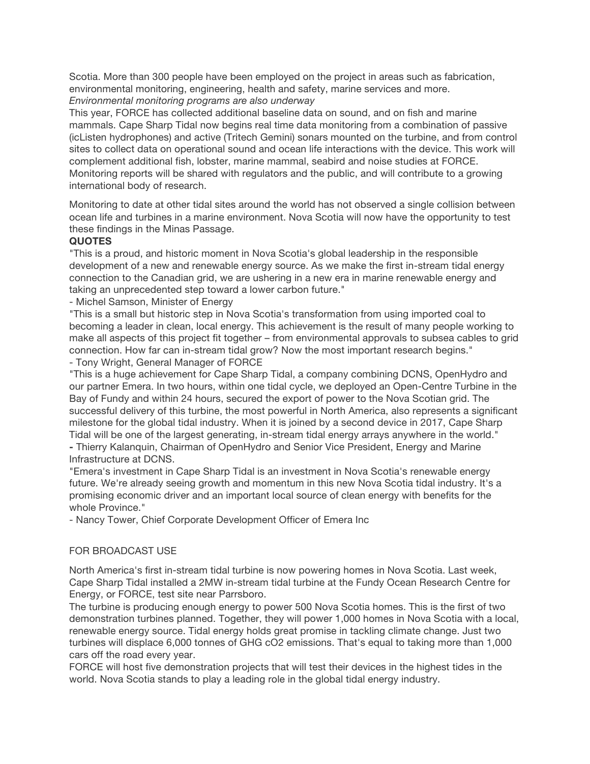Scotia. More than 300 people have been employed on the project in areas such as fabrication, environmental monitoring, engineering, health and safety, marine services and more. *Environmental monitoring programs are also underway*

This year, FORCE has collected additional baseline data on sound, and on fish and marine mammals. Cape Sharp Tidal now begins real time data monitoring from a combination of passive (icListen hydrophones) and active (Tritech Gemini) sonars mounted on the turbine, and from control sites to collect data on operational sound and ocean life interactions with the device. This work will complement additional fish, lobster, marine mammal, seabird and noise studies at FORCE. Monitoring reports will be shared with regulators and the public, and will contribute to a growing international body of research.

Monitoring to date at other tidal sites around the world has not observed a single collision between ocean life and turbines in a marine environment. Nova Scotia will now have the opportunity to test these findings in the Minas Passage.

#### **QUOTES**

"This is a proud, and historic moment in Nova Scotia's global leadership in the responsible development of a new and renewable energy source. As we make the first in-stream tidal energy connection to the Canadian grid, we are ushering in a new era in marine renewable energy and taking an unprecedented step toward a lower carbon future."

- Michel Samson, Minister of Energy

"This is a small but historic step in Nova Scotia's transformation from using imported coal to becoming a leader in clean, local energy. This achievement is the result of many people working to make all aspects of this project fit together – from environmental approvals to subsea cables to grid connection. How far can in-stream tidal grow? Now the most important research begins." - Tony Wright, General Manager of FORCE

"This is a huge achievement for Cape Sharp Tidal, a company combining DCNS, OpenHydro and our partner Emera. In two hours, within one tidal cycle, we deployed an Open-Centre Turbine in the Bay of Fundy and within 24 hours, secured the export of power to the Nova Scotian grid. The successful delivery of this turbine, the most powerful in North America, also represents a significant milestone for the global tidal industry. When it is joined by a second device in 2017, Cape Sharp Tidal will be one of the largest generating, in-stream tidal energy arrays anywhere in the world."

**-** Thierry Kalanquin, Chairman of OpenHydro and Senior Vice President, Energy and Marine Infrastructure at DCNS.

"Emera's investment in Cape Sharp Tidal is an investment in Nova Scotia's renewable energy future. We're already seeing growth and momentum in this new Nova Scotia tidal industry. It's a promising economic driver and an important local source of clean energy with benefits for the whole Province."

- Nancy Tower, Chief Corporate Development Officer of Emera Inc

#### FOR BROADCAST USE

North America's first in-stream tidal turbine is now powering homes in Nova Scotia. Last week, Cape Sharp Tidal installed a 2MW in-stream tidal turbine at the Fundy Ocean Research Centre for Energy, or FORCE, test site near Parrsboro.

The turbine is producing enough energy to power 500 Nova Scotia homes. This is the first of two demonstration turbines planned. Together, they will power 1,000 homes in Nova Scotia with a local, renewable energy source. Tidal energy holds great promise in tackling climate change. Just two turbines will displace 6,000 tonnes of GHG cO2 emissions. That's equal to taking more than 1,000 cars off the road every year.

FORCE will host five demonstration projects that will test their devices in the highest tides in the world. Nova Scotia stands to play a leading role in the global tidal energy industry.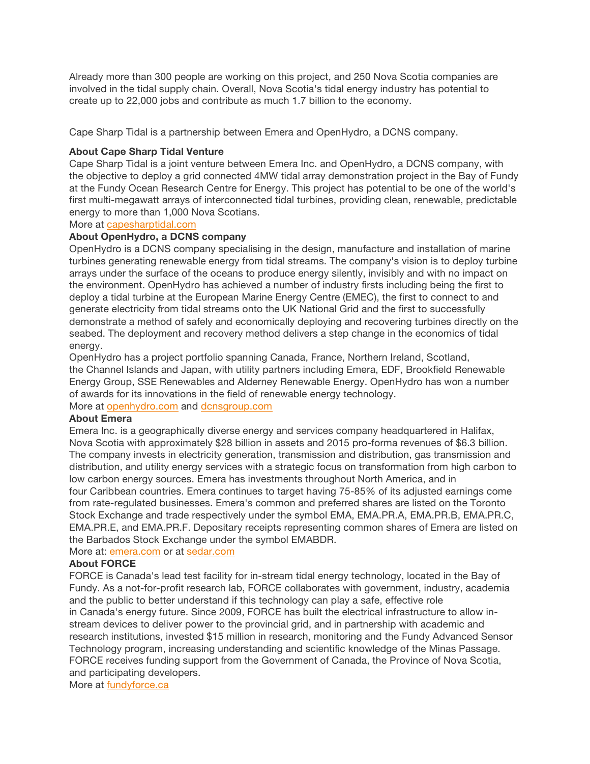Already more than 300 people are working on this project, and 250 Nova Scotia companies are involved in the tidal supply chain. Overall, Nova Scotia's tidal energy industry has potential to create up to 22,000 jobs and contribute as much 1.7 billion to the economy.

Cape Sharp Tidal is a partnership between Emera and OpenHydro, a DCNS company.

# **About Cape Sharp Tidal Venture**

Cape Sharp Tidal is a joint venture between Emera Inc. and OpenHydro, a DCNS company, with the objective to deploy a grid connected 4MW tidal array demonstration project in the Bay of Fundy at the Fundy Ocean Research Centre for Energy. This project has potential to be one of the world's first multi-megawatt arrays of interconnected tidal turbines, providing clean, renewable, predictable energy to more than 1,000 Nova Scotians.

More at capesharptidal.com

# **About OpenHydro, a DCNS company**

OpenHydro is a DCNS company specialising in the design, manufacture and installation of marine turbines generating renewable energy from tidal streams. The company's vision is to deploy turbine arrays under the surface of the oceans to produce energy silently, invisibly and with no impact on the environment. OpenHydro has achieved a number of industry firsts including being the first to deploy a tidal turbine at the European Marine Energy Centre (EMEC), the first to connect to and generate electricity from tidal streams onto the UK National Grid and the first to successfully demonstrate a method of safely and economically deploying and recovering turbines directly on the seabed. The deployment and recovery method delivers a step change in the economics of tidal energy.

OpenHydro has a project portfolio spanning Canada, France, Northern Ireland, Scotland, the Channel Islands and Japan, with utility partners including Emera, EDF, Brookfield Renewable Energy Group, SSE Renewables and Alderney Renewable Energy. OpenHydro has won a number of awards for its innovations in the field of renewable energy technology.

## More at openhydro.com and dcnsgroup.com

### **About Emera**

Emera Inc. is a geographically diverse energy and services company headquartered in Halifax, Nova Scotia with approximately \$28 billion in assets and 2015 pro-forma revenues of \$6.3 billion. The company invests in electricity generation, transmission and distribution, gas transmission and distribution, and utility energy services with a strategic focus on transformation from high carbon to low carbon energy sources. Emera has investments throughout North America, and in four Caribbean countries. Emera continues to target having 75-85% of its adjusted earnings come from rate-regulated businesses. Emera's common and preferred shares are listed on the Toronto Stock Exchange and trade respectively under the symbol EMA, EMA.PR.A, EMA.PR.B, EMA.PR.C, EMA.PR.E, and EMA.PR.F. Depositary receipts representing common shares of Emera are listed on the Barbados Stock Exchange under the symbol EMABDR.

More at: emera.com or at sedar.com

### **About FORCE**

FORCE is Canada's lead test facility for in-stream tidal energy technology, located in the Bay of Fundy. As a not-for-profit research lab, FORCE collaborates with government, industry, academia and the public to better understand if this technology can play a safe, effective role in Canada's energy future. Since 2009, FORCE has built the electrical infrastructure to allow instream devices to deliver power to the provincial grid, and in partnership with academic and research institutions, invested \$15 million in research, monitoring and the Fundy Advanced Sensor Technology program, increasing understanding and scientific knowledge of the Minas Passage. FORCE receives funding support from the Government of Canada, the Province of Nova Scotia, and participating developers.

More at fundyforce.ca